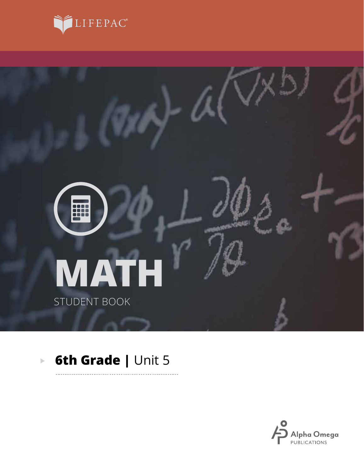



. . . . . . . . .

#### **6th Grade | Unit 5**  $\overline{\mathbb{P}}$

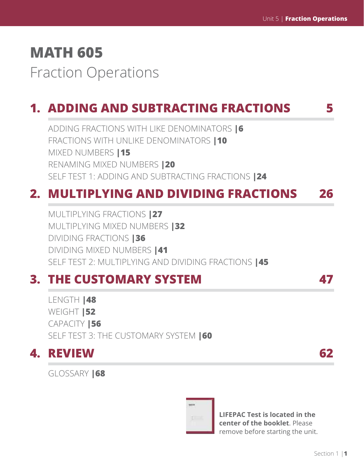# **MATH 605** Fraction Operations

# **1. ADDING AND SUBTRACTING FRACTIONS 5**

ADDING FRACTIONS WITH LIKE DENOMINATORS **|6** FRACTIONS WITH UNLIKE DENOMINATORS **|10** MIXED NUMBERS **|15** RENAMING MIXED NUMBERS **|20** SELF TEST 1: ADDING AND SUBTRACTING FRACTIONS **|24**

# **2. MULTIPLYING AND DIVIDING FRACTIONS 26**

MULTIPLYING FRACTIONS **|27** MULTIPLYING MIXED NUMBERS **|32** DIVIDING FRACTIONS **|36** DIVIDING MIXED NUMBERS **|41** SELF TEST 2: MULTIPLYING AND DIVIDING FRACTIONS **|45**

# **3. THE CUSTOMARY SYSTEM 47**

LENGTH **|48** WEIGHT **|52** CAPACITY **|56** SELF TEST 3: THE CUSTOMARY SYSTEM **|60**

# **4. REVIEW 62**

GLOSSARY **|68**



**LIFEPAC Test is located in the center of the booklet**. Please remove before starting the unit.

Section 1 |**1**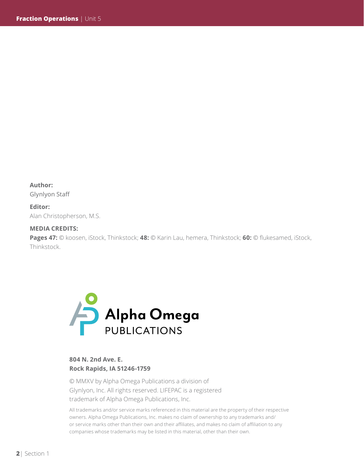**Author:** 

Glynlyon Staff

**Editor:**  Alan Christopherson, M.S.

#### **MEDIA CREDITS:**

**Pages 47:** © koosen, iStock, Thinkstock; **48:** © Karin Lau, hemera, Thinkstock; **60:** © flukesamed, iStock, Thinkstock.



#### **804 N. 2nd Ave. E. Rock Rapids, IA 51246-1759**

© MMXV by Alpha Omega Publications a division of Glynlyon, Inc. All rights reserved. LIFEPAC is a registered trademark of Alpha Omega Publications, Inc.

All trademarks and/or service marks referenced in this material are the property of their respective owners. Alpha Omega Publications, Inc. makes no claim of ownership to any trademarks and/ or service marks other than their own and their affiliates, and makes no claim of affiliation to any companies whose trademarks may be listed in this material, other than their own.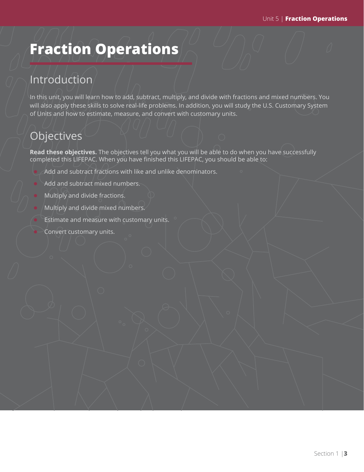# **Fraction Operations**

## Introduction

In this unit, you will learn how to add, subtract, multiply, and divide with fractions and mixed numbers. You will also apply these skills to solve real-life problems. In addition, you will study the U.S. Customary System of Units and how to estimate, measure, and convert with customary units.

# **Objectives**

**Read these objectives.** The objectives tell you what you will be able to do when you have successfully completed this LIFEPAC. When you have finished this LIFEPAC, you should be able to:

- Add and subtract fractions with like and unlike denominators.
- Add and subtract mixed numbers.
- Multiply and divide fractions.
- Multiply and divide mixed numbers.
- Estimate and measure with customary units.
- Convert customary units.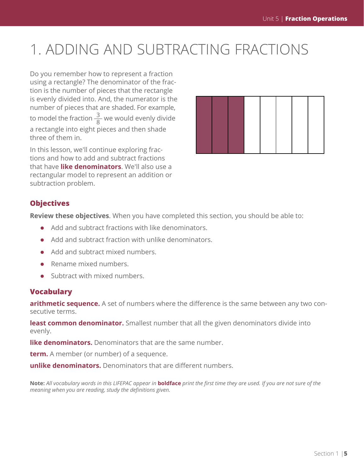# 1. ADDING AND SUBTRACTING FRACTIONS

Do you remember how to represent a fraction using a rectangle? The denominator of the fraction is the number of pieces that the rectangle is evenly divided into. And, the numerator is the number of pieces that are shaded. For example, to model the fraction  $\frac{3}{8}$  we would evenly divide a rectangle into eight pieces and then shade three of them in.

In this lesson, we'll continue exploring fractions and how to add and subtract fractions that have **like denominators**. We'll also use a rectangular model to represent an addition or subtraction problem.



#### **Objectives**

**Review these objectives**. When you have completed this section, you should be able to:

- $\bullet$  Add and subtract fractions with like denominators.
- $\bullet$  Add and subtract fraction with unlike denominators.
- $\bullet$  Add and subtract mixed numbers.
- $\bullet$  Rename mixed numbers.
- $\bullet$  Subtract with mixed numbers.

#### **Vocabulary**

**arithmetic sequence.** A set of numbers where the difference is the same between any two consecutive terms.

**least common denominator.** Smallest number that all the given denominators divide into evenly.

**like denominators.** Denominators that are the same number.

**term.** A member (or number) of a sequence.

**unlike denominators.** Denominators that are different numbers.

**Note:** *All vocabulary words in this LIFEPAC appear in* **boldface** *print the first time they are used. If you are not sure of the meaning when you are reading, study the definitions given.*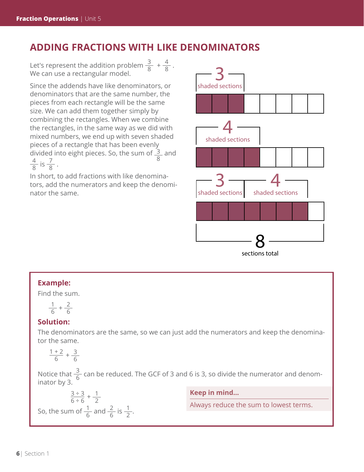### **ADDING FRACTIONS WITH LIKE DENOMINATORS**

Let's represent the addition problem  $\frac{3}{8} + \frac{4}{8}$ . We can use a rectangular model.

Since the addends have like denominators, or denominators that are the same number, the pieces from each rectangle will be the same size. We can add them together simply by combining the rectangles. When we combine the rectangles, in the same way as we did with mixed numbers, we end up with seven shaded pieces of a rectangle that has been evenly divided into eight pieces. So, the sum of  $\frac{3}{2}$ 8 and  $\frac{4}{8}$  is  $\frac{7}{8}$ .

In short, to add fractions with like denominators, add the numerators and keep the denominator the same.



### **Example:**

Find the sum.

$$
\frac{1}{6}+\frac{2}{6}
$$

#### **Solution:**

The denominators are the same, so we can just add the numerators and keep the denominator the same.

 $\frac{1+2}{6} + \frac{3}{6}$ 

Notice that  $\frac{3}{6}$  can be reduced. The GCF of 3 and 6 is 3, so divide the numerator and denominator by 3.

 $\frac{3 \div 3}{6 \div 6} + \frac{1}{2}$ So, the sum of  $\frac{1}{6}$  and  $\frac{2}{6}$  is  $\frac{1}{2}$ . **Keep in mind...**

Always reduce the sum to lowest terms.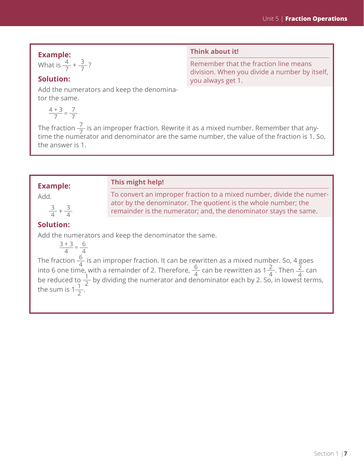**Example:**

What is  $\frac{4}{7} + \frac{3}{7}$ ?

#### **Think about it!**

To convert an improper fraction to a mixed number, divide the numer-

ator by the denominator. The quotient is the whole number; the remainder is the numerator; and, the denominator stays the same.

Remember that the fraction line means division. When you divide a number by itself, you always get 1.

### **Solution:**

Add the numerators and keep the denominator the same.

$$
\frac{4+3}{7} = \frac{7}{7}
$$

The fraction  $\frac{7}{7}$  is an improper fraction. Rewrite it as a mixed number. Remember that anytime the numerator and denominator are the same number, the value of the fraction is 1. So, the answer is 1.

#### **Example:**

Add.

 $\frac{3}{4} + \frac{3}{4}$ 

#### **Solution:**

Add the numerators and keep the denominator the same.

**This might help!**

$$
\frac{3+3}{4} = \frac{6}{4}
$$

The fraction  $\frac{6}{4}$  is an improper fraction. It can be rewritten as a mixed number. So, 4 goes into 6 one time, with a remainder of 2. Therefore,  $\frac{6}{4}$  can be rewritten as  $1\frac{2}{4}$ . Then  $\frac{2}{4}$  can be reduced to  $\frac{1}{2}$  by dividing the numerator and denominator each by 2. So, in lowest terms, the sum is  $1\frac{1}{2}$ .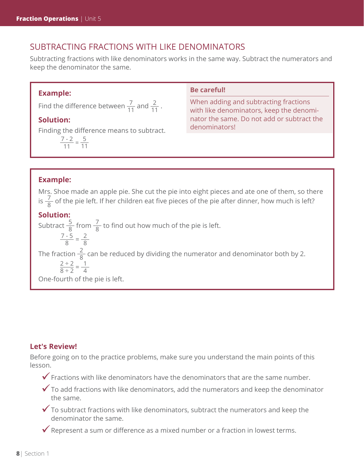### SUBTRACTING FRACTIONS WITH LIKE DENOMINATORS

Subtracting fractions with like denominators works in the same way. Subtract the numerators and keep the denominator the same.

#### **Example:**

Find the difference between  $\frac{7}{11}$  and  $\frac{2}{11}$ .

#### **Solution:**

Finding the difference means to subtract.

 $\frac{7-2}{11} = \frac{5}{11}$ 

#### **Be careful!**

When adding and subtracting fractions with like denominators, keep the denominator the same. Do not add or subtract the denominators!

#### **Example:**

Mrs. Shoe made an apple pie. She cut the pie into eight pieces and ate one of them, so there is  $\frac{7}{8}$  of the pie left. If her children eat five pieces of the pie after dinner, how much is left?

#### **Solution:**

Subtract  $\frac{5}{8}$  from  $\frac{7}{8}$  to find out how much of the pie is left.  $\frac{7-5}{8} = \frac{2}{8}$ The fraction  $\frac{2}{8}$  can be reduced by dividing the numerator and denominator both by 2.  $\frac{2 \div 2}{8 \div 2} = \frac{1}{4}$ One-fourth of the pie is left.

#### **Let's Review!**

Before going on to the practice problems, make sure you understand the main points of this lesson.

- $\checkmark$  Fractions with like denominators have the denominators that are the same number.
- $\checkmark$  To add fractions with like denominators, add the numerators and keep the denominator the same.
- $\checkmark$  To subtract fractions with like denominators, subtract the numerators and keep the denominator the same.
- $\checkmark$  Represent a sum or difference as a mixed number or a fraction in lowest terms.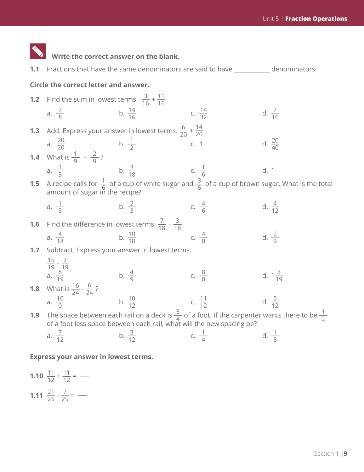

#### **Express your answer in lowest terms.**

**1.10** 
$$
\frac{11}{12} + \frac{11}{12} =
$$
 —  
**1.11**  $\frac{21}{25} \cdot \frac{7}{25} =$  —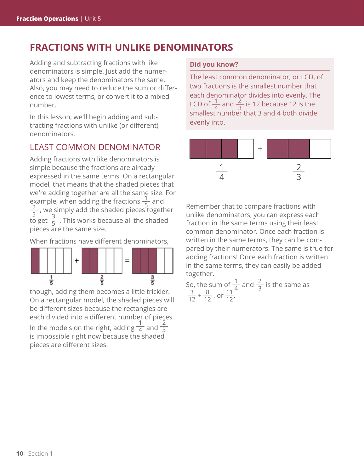## **FRACTIONS WITH UNLIKE DENOMINATORS**

Adding and subtracting fractions with like denominators is simple. Just add the numerators and keep the denominators the same. Also, you may need to reduce the sum or difference to lowest terms, or convert it to a mixed number.

In this lesson, we'll begin adding and subtracting fractions with unlike (or different) denominators.

### LEAST COMMON DENOMINATOR

Adding fractions with like denominators is simple because the fractions are already expressed in the same terms. On a rectangular model, that means that the shaded pieces that we're adding together are all the same size. For example, when adding the fractions  $\frac{1}{5}$  and  $\frac{2}{5}$  we simply add the shaded pieces togeth  $\frac{2}{5}$  , we simply add the shaded pieces together  $\frac{3}{5}$  or  $\frac{3}{5}$ . This works because all the shaded pieces are the same size.

When fractions have different denominators,

![](_page_9_Figure_7.jpeg)

though, adding them becomes a little trickier. On a rectangular model, the shaded pieces will be different sizes because the rectangles are each divided into a different number of pieces. In the models on the right, adding  $\frac{1}{4}$  and  $\frac{2}{3}$ is impossible right now because the shaded pieces are different sizes.

#### **Did you know?**

The least common denominator, or LCD, of two fractions is the smallest number that each denominator divides into evenly. The LCD of  $\frac{1}{4}$  and  $\frac{2}{3}$  is 12 because 12 is the smallest number that 3 and 4 both divide evenly into.

![](_page_9_Figure_11.jpeg)

Remember that to compare fractions with unlike denominators, you can express each fraction in the same terms using their least common denominator. Once each fraction is written in the same terms, they can be compared by their numerators. The same is true for adding fractions! Once each fraction is written in the same terms, they can easily be added together.

So, the sum of  $\frac{1}{4}$  and  $\frac{2}{3}$  is the same as  $\frac{3}{12} + \frac{8}{12}$ , or  $\frac{11}{12}$ .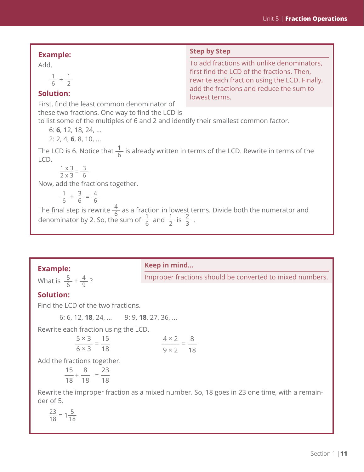| <b>Example:</b>                                                                                                                                                                                                                       | <b>Step by Step</b>                                                                                                                                                                                   |
|---------------------------------------------------------------------------------------------------------------------------------------------------------------------------------------------------------------------------------------|-------------------------------------------------------------------------------------------------------------------------------------------------------------------------------------------------------|
| Add.<br>$\frac{1}{6} + \frac{1}{2}$<br><b>Solution:</b><br>First, find the least common denominator of                                                                                                                                | To add fractions with unlike denominators,<br>first find the LCD of the fractions. Then,<br>rewrite each fraction using the LCD. Finally,<br>add the fractions and reduce the sum to<br>lowest terms. |
| these two fractions. One way to find the LCD is<br>to list some of the multiples of 6 and 2 and identify their smallest common factor.<br>6: 6, 12, 18, 24,<br>$2: 2, 4, 6, 8, 10, \ldots$                                            |                                                                                                                                                                                                       |
| The LCD is 6. Notice that $\frac{1}{6}$ is already written in terms of the LCD. Rewrite in terms of the<br>LCD.<br>$\frac{1 \times 3}{2 \times 3} = \frac{3}{6}$                                                                      |                                                                                                                                                                                                       |
| Now, add the fractions together.                                                                                                                                                                                                      |                                                                                                                                                                                                       |
| $\frac{1}{6} + \frac{3}{6} = \frac{4}{6}$<br>The final step is rewrite $\frac{4}{6}$ as a fraction in lowest terms. Divide both the numerator and denominator by 2. So, the sum of $\frac{1}{6}$ and $\frac{1}{2}$ is $\frac{2}{3}$ . |                                                                                                                                                                                                       |

### **Example:**

#### **Keep in mind...**

What is  $\frac{5}{6} + \frac{4}{9}$ ?

Improper fractions should be converted to mixed numbers.

### **Solution:**

Find the LCD of the two fractions.

6: 6, 12, **18**, 24, ... 9: 9, **18**, 27, 36, ...

Rewrite each fraction using the LCD.

| $5 \times 3$ 15 | $4 \times 2$ 8  |  |
|-----------------|-----------------|--|
| $6 \times 3$ 18 | $9 \times 2$ 18 |  |

Add the fractions together.

$$
\frac{15}{18} + \frac{8}{18} = \frac{23}{18}
$$

Rewrite the improper fraction as a mixed number. So, 18 goes in 23 one time, with a remainder of 5.

$$
\frac{23}{18} = 1\frac{5}{18}
$$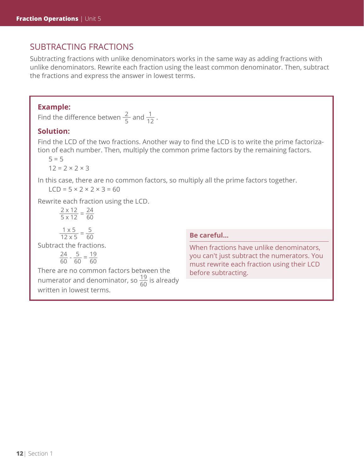### SUBTRACTING FRACTIONS

Subtracting fractions with unlike denominators works in the same way as adding fractions with unlike denominators. Rewrite each fraction using the least common denominator. Then, subtract the fractions and express the answer in lowest terms.

#### **Example:**

Find the difference betwen  $\frac{2}{5}$  and  $\frac{1}{12}$ .

#### **Solution:**

Find the LCD of the two fractions. Another way to find the LCD is to write the prime factorization of each number. Then, multiply the common prime factors by the remaining factors.

 $5 = 5$ 

 $12 = 2 \times 2 \times 3$ 

In this case, there are no common factors, so multiply all the prime factors together.

 $LCD = 5 \times 2 \times 2 \times 3 = 60$ 

Rewrite each fraction using the LCD.

$$
\frac{2 \times 12}{5 \times 12} = \frac{24}{60}
$$
  

$$
\frac{1 \times 5}{12 \times 5} = \frac{5}{60}
$$
  
Subtract the fractions.

 $rac{24}{60} - \frac{5}{60} = \frac{19}{60}$ 60

There are no common factors between the numerator and denominator, so  $\frac{19}{60}$  is already written in lowest terms.

#### **Be careful...**

When fractions have unlike denominators, you can't just subtract the numerators. You must rewrite each fraction using their LCD before subtracting.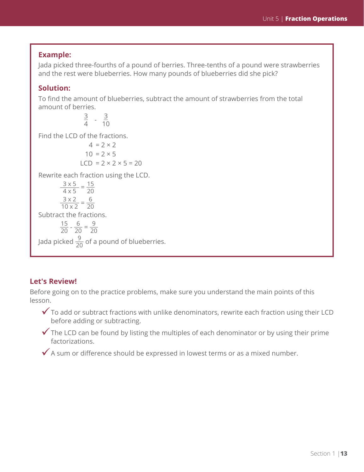#### **Example:**

Jada picked three-fourths of a pound of berries. Three-tenths of a pound were strawberries and the rest were blueberries. How many pounds of blueberries did she pick?

#### **Solution:**

To find the amount of blueberries, subtract the amount of strawberries from the total amount of berries.

 $\frac{3}{4}$  -  $\frac{3}{10}$ Find the LCD of the fractions.

 $4 = 2 \times 2$  $10 = 2 \times 5$  $LCD = 2 \times 2 \times 5 = 20$ Rewrite each fraction using the LCD.  $\frac{3 \times 5}{4 \times 5} = \frac{15}{20}$ 20  $\frac{3 \times 2}{10 \times 2} = \frac{6}{20}$ Subtract the fractions.  $\frac{15}{20} - \frac{6}{20} = \frac{9}{20}$ Jada picked  $\frac{9}{20}$  of a pound of blueberries.

#### **Let's Review!**

Before going on to the practice problems, make sure you understand the main points of this lesson.

- $\checkmark$  To add or subtract fractions with unlike denominators, rewrite each fraction using their LCD before adding or subtracting.
- $\checkmark$  The LCD can be found by listing the multiples of each denominator or by using their prime factorizations.
- $\checkmark$  A sum or difference should be expressed in lowest terms or as a mixed number.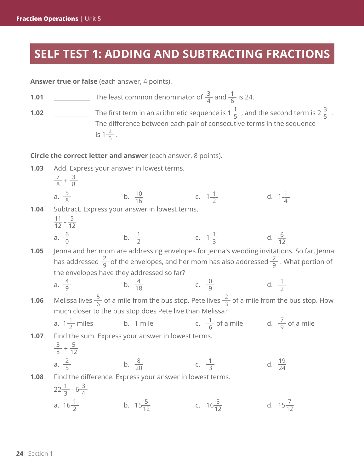## **SELF TEST 1: ADDING AND SUBTRACTING FRACTIONS**

**Answer true or false** (each answer, 4 points).

**1.01** \_\_\_\_\_\_\_\_\_\_\_\_\_\_ The least common denominator of  $\frac{3}{4}$  and  $\frac{1}{6}$  is 24.

**1.02** \_\_\_\_\_\_\_\_\_\_\_\_ The first term in an arithmetic sequence is  $1\frac{1}{5}$ , and the second term is  $2\frac{3}{5}$ . The difference between each pair of consecutive terms in the sequence is  $1\frac{2}{5}$ .

**Circle the correct letter and answer** (each answer, 8 points).

1.03 Add. Express your answer in lowest terms.  
\n
$$
\frac{7}{8} + \frac{3}{8}
$$
  
\na.  $\frac{5}{8}$   
\nb.  $\frac{10}{16}$   
\nc.  $1\frac{1}{2}$   
\nd.  $1\frac{1}{4}$   
\n1.04 Subtract. Express your answer in lowest terms.  
\n $\frac{11}{12} - \frac{5}{12}$   
\na.  $\frac{6}{0}$   
\nb.  $\frac{1}{2}$   
\nc.  $1\frac{1}{3}$   
\nd.  $\frac{6}{12}$   
\n1.05 Jenna and her mom are addressing envelopes for Jenna's wedding invitations. So far, Jenna has addressed  $\frac{2}{9}$  of the envelopes, and her mom has also addressed  $\frac{2}{9}$ . What portion of the envelopes have they addressed so far?  
\na.  $\frac{4}{9}$   
\nb.  $\frac{4}{18}$   
\nc.  $\frac{0}{9}$   
\nd.  $\frac{1}{2}$   
\n1.06 Melissa lives  $\frac{5}{6}$  of a mile from the bus stop. Pete lives  $\frac{2}{3}$  of a mile from the bus stop. How much closer to the bus stop does Pete live than Melissa?  
\na.  $1\frac{1}{2}$  miles  
\nb. 1 mile  
\nc.  $\frac{1}{6}$  of a mile  
\nc.  $\frac{1}{9}$  of a mile  
\nd.  $\frac{7}{9}$  of a mile  
\n1.07 Find the sum. Express your answer in lowest terms.  
\n $\frac{3}{8} + \frac{5}{12}$   
\nb.  $\frac{8}{20}$   
\nc.  $\frac{1}{3}$   
\nd.  $\frac{19}{24}$   
\n1.08 Find the difference. Express your answer in lowest terms.  
\n $22\frac{1}{3} - 6\frac{3}{4}$   
\na.  $16\frac{1}{2}$   
\nb.  $15\frac{5}{12}$   
\nc.  $16\frac{5}{12}$   
\nd.  $15\frac{7}{12}$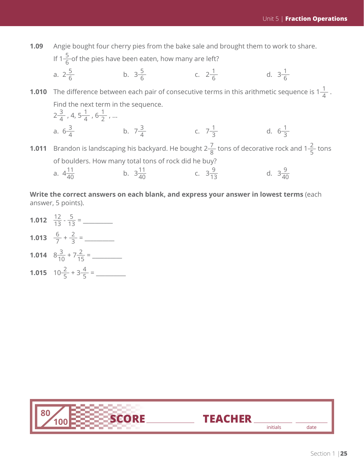**1.09** Angie bought four cherry pies from the bake sale and brought them to work to share.

If 1 $\frac{5}{6}$ of the pies have been eaten, how many are left?

a. 
$$
2\frac{5}{6}
$$
 b.  $3\frac{5}{6}$  c.  $2\frac{1}{6}$  d.  $3\frac{1}{6}$ 

**1.010** The difference between each pair of consecutive terms in this arithmetic sequence is  $1\frac{1}{4}$ . Find the next term in the sequence.

2
$$
\frac{3}{4}
$$
, 4, 5 $\frac{1}{4}$ , 6 $\frac{1}{2}$ , ...  
\na. 6 $\frac{3}{4}$  b. 7 $\frac{3}{4}$  c. 7 $\frac{1}{3}$  d. 6 $\frac{1}{3}$   
\n1.011 Brandon is landscaping his background. He bought 2 $\frac{7}{8}$  tons of decorative rock and 1 $\frac{2}{5}$  tons of boulders. How many total tons of rock did he buy?  
\na. 4 $\frac{11}{40}$  b. 3 $\frac{11}{40}$  c. 3 $\frac{9}{13}$  d. 3 $\frac{9}{40}$ 

**Write the correct answers on each blank, and express your answer in lowest terms** (each answer, 5 points).

**1.012** \_\_\_ 12 13 - \_\_\_5 <sup>13</sup> = \_\_\_\_\_\_\_\_\_\_ **1.013**  $\frac{6}{7} + \frac{2}{3} =$ **1.014** <sup>8</sup>\_\_\_3 10 + 7\_\_\_2 <sup>15</sup> = \_\_\_\_\_\_\_\_\_\_ **1.015**  $10\frac{2}{5} + 3\frac{4}{5} =$ 

![](_page_14_Picture_8.jpeg)